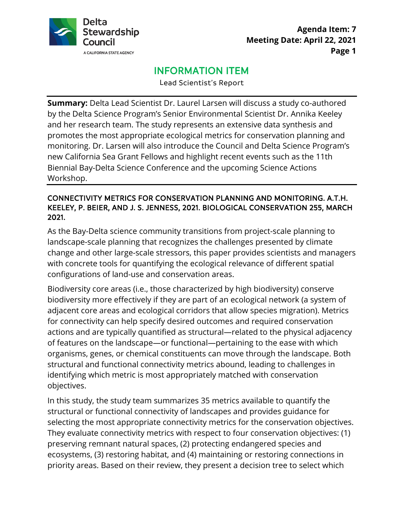

## **Agenda Item: 7 Meeting Date: April 22, 2021 Page 1**

# INFORMATION ITEM

Lead Scientist's Report

 promotes the most appropriate ecological metrics for conservation planning and new California Sea Grant Fellows and highlight recent events such as the 11th Biennial Bay-Delta Science Conference and the upcoming Science Actions **Summary:** Delta Lead Scientist Dr. Laurel Larsen will discuss a study co-authored by the Delta Science Program's Senior Environmental Scientist Dr. Annika Keeley and her research team. The study represents an extensive data synthesis and monitoring. Dr. Larsen will also introduce the Council and Delta Science Program's Workshop.

#### CONNECTIVITY METRICS FOR CONSERVATION PLANNING AND MONITORING. A.T.H. KEELEY, P. BEIER, AND J. S. JENNESS, 2021. BIOLOGICAL CONSERVATION 255, MARCH 2021.

As the Bay-Delta science community transitions from project-scale planning to landscape-scale planning that recognizes the challenges presented by climate change and other large-scale stressors, this paper provides scientists and managers with concrete tools for quantifying the ecological relevance of different spatial configurations of land-use and conservation areas.

 Biodiversity core areas (i.e., those characterized by high biodiversity) conserve objectives. biodiversity more effectively if they are part of an ecological network (a system of adjacent core areas and ecological corridors that allow species migration). Metrics for connectivity can help specify desired outcomes and required conservation actions and are typically quantified as structural—related to the physical adjacency of features on the landscape—or functional—pertaining to the ease with which organisms, genes, or chemical constituents can move through the landscape. Both structural and functional connectivity metrics abound, leading to challenges in identifying which metric is most appropriately matched with conservation

 They evaluate connectivity metrics with respect to four conservation objectives: (1) In this study, the study team summarizes 35 metrics available to quantify the structural or functional connectivity of landscapes and provides guidance for selecting the most appropriate connectivity metrics for the conservation objectives. preserving remnant natural spaces, (2) protecting endangered species and ecosystems, (3) restoring habitat, and (4) maintaining or restoring connections in priority areas. Based on their review, they present a decision tree to select which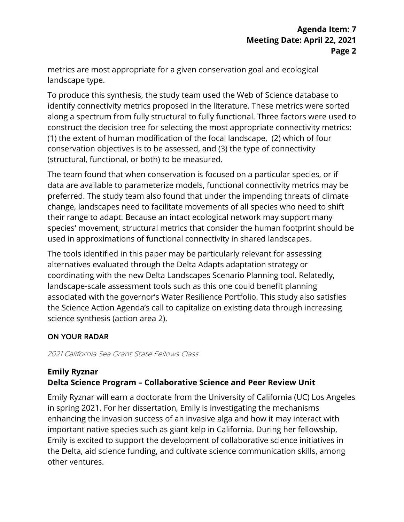landscape type. metrics are most appropriate for a given conservation goal and ecological

(structural, functional, or both) to be measured. To produce this synthesis, the study team used the Web of Science database to identify connectivity metrics proposed in the literature. These metrics were sorted along a spectrum from fully structural to fully functional. Three factors were used to construct the decision tree for selecting the most appropriate connectivity metrics: (1) the extent of human modification of the focal landscape, (2) which of four conservation objectives is to be assessed, and (3) the type of connectivity

(structural, functional, or both) to be measured.<br>The team found that when conservation is focused on a particular species, or if data are available to parameterize models, functional connectivity metrics may be preferred. The study team also found that under the impending threats of climate change, landscapes need to facilitate movements of all species who need to shift their range to adapt. Because an intact ecological network may support many species' movement, structural metrics that consider the human footprint should be used in approximations of functional connectivity in shared landscapes.

 The tools identified in this paper may be particularly relevant for assessing coordinating with the new Delta Landscapes Scenario Planning tool. Relatedly, landscape-scale assessment tools such as this one could benefit planning associated with the governor's Water Resilience Portfolio. This study also satisfies the Science Action Agenda's call to capitalize on existing data through increasing alternatives evaluated through the Delta Adapts adaptation strategy or science synthesis (action area 2).

### ON YOUR RADAR

2021 California Sea Grant State Fellows Class

## **Delta Science Program – Collaborative Science and Peer Review Unit Emily Ryznar**

 Emily Ryznar will earn a doctorate from the University of California (UC) Los Angeles in spring 2021. For her dissertation, Emily is investigating the mechanisms enhancing the invasion success of an invasive alga and how it may interact with important native species such as giant kelp in California. During her fellowship, Emily is excited to support the development of collaborative science initiatives in the Delta, aid science funding, and cultivate science communication skills, among other ventures.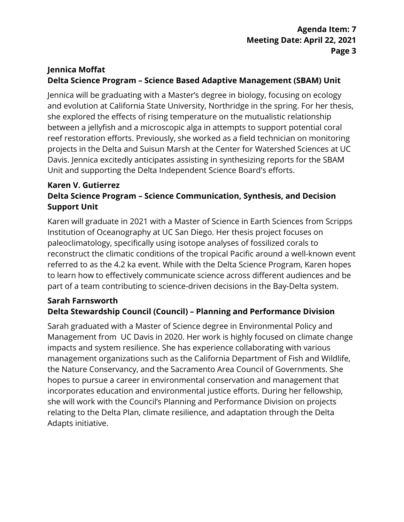## **Delta Science Program – Science Based Adaptive Management (SBAM) Unit Jennica Moffat**

Jennica will be graduating with a Master's degree in biology, focusing on ecology and evolution at California State University, Northridge in the spring. For her thesis, she explored the effects of rising temperature on the mutualistic relationship between a jellyfish and a microscopic alga in attempts to support potential coral reef restoration efforts. Previously, she worked as a field technician on monitoring projects in the Delta and Suisun Marsh at the Center for Watershed Sciences at UC Davis. Jennica excitedly anticipates assisting in synthesizing reports for the SBAM Unit and supporting the Delta Independent Science Board's efforts.

## **Delta Science Program – Science Communication, Synthesis, and Decision Support Unit Karen V. Gutierrez**

 referred to as the 4.2 ka event. While with the Delta Science Program, Karen hopes Karen will graduate in 2021 with a Master of Science in Earth Sciences from Scripps Institution of Oceanography at UC San Diego. Her thesis project focuses on paleoclimatology, specifically using isotope analyses of fossilized corals to reconstruct the climatic conditions of the tropical Pacific around a well-known event to learn how to effectively communicate science across different audiences and be part of a team contributing to science-driven decisions in the Bay-Delta system.

### **Sarah Farnsworth Delta Stewardship Council (Council) – Planning and Performance Division**

 management organizations such as the California Department of Fish and Wildlife, relating to the Delta Plan, climate resilience, and adaptation through the Delta Sarah graduated with a Master of Science degree in Environmental Policy and Management from UC Davis in 2020. Her work is highly focused on climate change impacts and system resilience. She has experience collaborating with various the Nature Conservancy, and the Sacramento Area Council of Governments. She hopes to pursue a career in environmental conservation and management that incorporates education and environmental justice efforts. During her fellowship, she will work with the Council's Planning and Performance Division on projects Adapts initiative.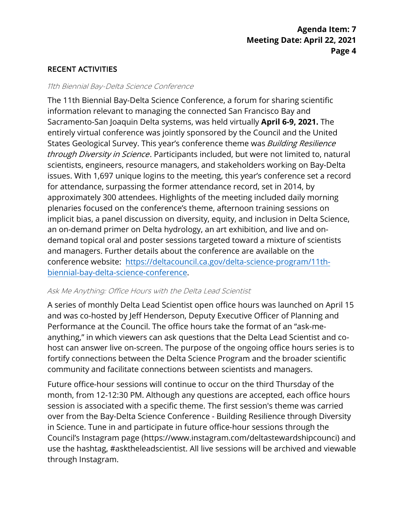### RECENT ACTIVITIES

#### 11th Biennial Bay-Delta Science Conference

 for attendance, surpassing the former attendance record, set in 2014, by conference website: [https://deltacouncil.ca.gov/delta-science-program/11th-](https://deltacouncil.ca.gov/delta-science-program/11th-biennial-bay-delta-science-conference)The 11th Biennial Bay-Delta Science Conference, a forum for sharing scientific information relevant to managing the connected San Francisco Bay and Sacramento-San Joaquin Delta systems, was held virtually **April 6-9, 2021.** The entirely virtual conference was jointly sponsored by the Council and the United States Geological Survey. This year's conference theme was *Building Resilience* through Diversity in Science. Participants included, but were not limited to, natural scientists, engineers, resource managers, and stakeholders working on Bay-Delta issues. With 1,697 unique logins to the meeting, this year's conference set a record approximately 300 attendees. Highlights of the meeting included daily morning plenaries focused on the conference's theme, afternoon training sessions on implicit bias, a panel discussion on diversity, equity, and inclusion in Delta Science, an on-demand primer on Delta hydrology, an art exhibition, and live and ondemand topical oral and poster sessions targeted toward a mixture of scientists and managers. Further details about the conference are available on the [biennial-bay-delta-science-conference.](https://deltacouncil.ca.gov/delta-science-program/11th-biennial-bay-delta-science-conference)

#### Ask Me Anything: Office Hours with the Delta Lead Scientist

 anything," in which viewers can ask questions that the Delta Lead Scientist and co- community and facilitate connections between scientists and managers. A series of monthly Delta Lead Scientist open office hours was launched on April 15 and was co-hosted by Jeff Henderson, Deputy Executive Officer of Planning and Performance at the Council. The office hours take the format of an "ask-mehost can answer live on-screen. The purpose of the ongoing office hours series is to fortify connections between the Delta Science Program and the broader scientific

 Future office-hour sessions will continue to occur on the third Thursday of the session is associated with a specific theme. The first session's theme was carried over from the Bay-Delta Science Conference - Building Resilience through Diversity month, from 12-12:30 PM. Although any questions are accepted, each office hours in Science. Tune in and participate in future office-hour sessions through the Council's Instagram page (https://www.instagram.com/deltastewardshipcounci) and use the hashtag, #asktheleadscientist. All live sessions will be archived and viewable through Instagram.